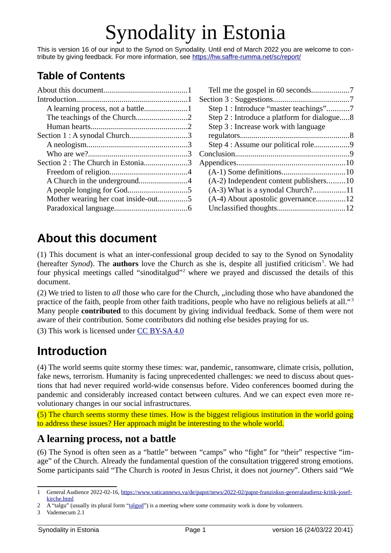# Synodality in Estonia

This is version 16 of our input to the Synod on Synodality. Until end of March 2022 you are welcome to contribute by giving feedback. For more information, see <https://hw.saffre-rumma.net/sc/report/>

# **Table of Contents**

| Section 1 : A synodal Church3       |  |
|-------------------------------------|--|
|                                     |  |
|                                     |  |
| Section 2 : The Church in Estonia3  |  |
|                                     |  |
|                                     |  |
|                                     |  |
| Mother wearing her coat inside-out5 |  |
|                                     |  |
|                                     |  |

<span id="page-0-7"></span><span id="page-0-3"></span>

| Tell me the gospel in 60 seconds7           |  |
|---------------------------------------------|--|
|                                             |  |
| Step 1 : Introduce "master teachings"7      |  |
| Step 2 : Introduce a platform for dialogue8 |  |
| Step 3 : Increase work with language        |  |
|                                             |  |
| Step 4 : Assume our political role9         |  |
|                                             |  |
|                                             |  |
|                                             |  |
| (A-2) Independent content publishers10      |  |
| (A-3) What is a synodal Church?11           |  |
| (A-4) About apostolic governance12          |  |
|                                             |  |
|                                             |  |

# <span id="page-0-2"></span>**About this document**

<span id="page-0-5"></span>(1) This document is what an inter-confessional group decided to say to the Synod on Synodality (hereafter *Synod*). The **authors** love the Church as she is, despite all justified criticism<sup>[1](#page-0-4)</sup>. We had four physical meetings called "sinoditalgud"<sup>[2](#page-0-6)</sup> where we prayed and discussed the details of this document.

(2) We tried to listen to *all* those who care for the Church, "including those who have abandoned the practice of the faith, people from other faith traditions, people who have no religious beliefs at all."<sup>[3](#page-0-8)</sup> Many people **contributed** to this document by giving individual feedback. Some of them were not aware of their contribution. Some contributors did nothing else besides praying for us.

(3) This work is licensed under [CC BY-SA 4.0](http://creativecommons.org/licenses/by-sa/4.0/?ref=chooser-v1)

# <span id="page-0-1"></span>**Introduction**

(4) The world seems quite stormy these times: war, pandemic, ransomware, climate crisis, pollution, fake news, terrorism. Humanity is facing unprecedented challenges: we need to discuss about questions that had never required world-wide consensus before. Video conferences boomed during the pandemic and considerably increased contact between cultures. And we can expect even more revolutionary changes in our social infrastructures.

(5) The church seems stormy these times. How is the biggest religious institution in the world going to address these issues? Her approach might be interesting to the whole world.

#### <span id="page-0-0"></span>**A learning process, not a battle**

(6) The Synod is often seen as a "battle" between "camps" who "fight" for "their" respective "image" of the Church. Already the fundamental question of the consultation triggered strong emotions. Some participants said "The Church is *rooted* in Jesus Christ, it does not *journey*". Others said "We

<span id="page-0-4"></span>[<sup>1</sup>](#page-0-3) General Audience 2022-02-16, [https://www.vaticannews.va/de/papst/news/2022-02/papst-franziskus-generalaudienz-kritik-josef](https://www.vaticannews.va/de/papst/news/2022-02/papst-franziskus-generalaudienz-kritik-josef-kirche.html)[kirche.html](https://www.vaticannews.va/de/papst/news/2022-02/papst-franziskus-generalaudienz-kritik-josef-kirche.html)

<span id="page-0-6"></span>[<sup>2</sup>](#page-0-5) A "talgu" (usually its plural form ["talgud"](https://et.wikipedia.org/wiki/Talgud)) is a meeting where some community work is done by volunteers.

<span id="page-0-8"></span>[<sup>3</sup>](#page-0-7) Vademecum 2.1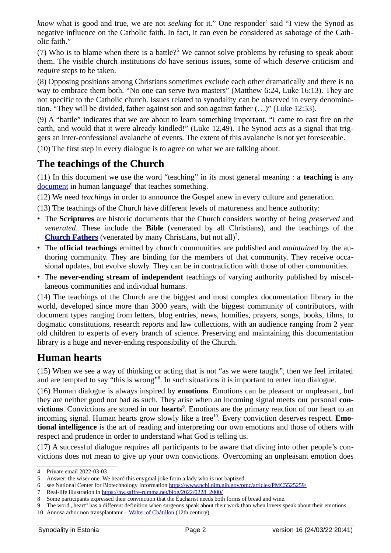<span id="page-1-2"></span>*know* what is good and true, we are not *seeking* for it." One responder<sup>[4](#page-1-3)</sup> said "I view the Synod as negative influence on the Catholic faith. In fact, it can even be considered as sabotage of the Catholic faith."

<span id="page-1-4"></span>(7) Who is to blame when there is a battle?<sup>[5](#page-1-5)</sup> We cannot solve problems by refusing to speak about them. The visible church institutions *do* have serious issues, some of which *deserve* criticism and *require* steps to be taken.

(8) Opposing positions among Christians sometimes exclude each other dramatically and there is no way to embrace them both. "No one can serve two masters" (Matthew 6:24, Luke 16:13). They are not specific to the Catholic church. Issues related to synodality can be observed in every denomination. "They will be divided, father against son and son against father  $(...)$ " [\(Luke 12:53](https://www.bibleserver.com/ESV/Luke12%3A53)).

(9) A "battle" indicates that we are about to learn something important. "I came to cast fire on the earth, and would that it were already kindled!" (Luke 12,49). The Synod acts as a signal that triggers an inter-confessional avalanche of events. The extent of this avalanche is not yet foreseeable.

(10) The first step in every dialogue is to agree on what we are talking about.

### <span id="page-1-1"></span>**The teachings of the Church**

<span id="page-1-6"></span>(11) In this document we use the word "teaching" in its most general meaning : a **teaching** is any <u>[document](https://en.wikipedia.org/wiki/Document)</u> in human language<sup>[6](#page-1-7)</sup> that teaches something.

(12) We need *teachings* in order to announce the Gospel anew in every culture and generation.

(13) The teachings of the Church have different levels of matureness and hence authority:

- The **Scriptures** are historic documents that the Church considers worthy of being *preserved* and *venerated*. These include the **Bible** (venerated by all Christians), and the teachings of the **[Church Fathers](https://en.wikipedia.org/wiki/Church_Fathers)** (venerated by many Christians, but not all)[7](#page-1-9) .
- <span id="page-1-8"></span>• The **official teachings** emitted by church communities are published and *maintained* by the authoring community. They are binding for the members of that community. They receive occasional updates, but evolve slowly. They can be in contradiction with those of other communities.
- The **never-ending stream of independent** teachings of varying authority published by miscellaneous communities and individual humans.

(14) The teachings of the Church are the biggest and most complex documentation library in the world, developed since more than 3000 years, with the biggest community of contributors, with document types ranging from letters, blog entries, news, homilies, prayers, songs, books, films, to dogmatic constitutions, research reports and law collections, with an audience ranging from 2 year old children to experts of every branch of science. Preserving and maintaining this documentation library is a huge and never-ending responsibility of the Church.

#### <span id="page-1-0"></span>**Human hearts**

<span id="page-1-10"></span>(15) When we see a way of thinking or acting that is not "as we were taught", then we feel irritated and are tempted to say "this is wrong"<sup>[8](#page-1-11)</sup>. In such situations it is important to enter into dialogue.

<span id="page-1-14"></span><span id="page-1-12"></span>(16) Human dialogue is always inspired by **emotions**. Emotions can be pleasant or unpleasant, but they are neither good nor bad as such. They arise when an incoming signal meets our personal **convictions**. Convictions are stored in our **hearts[9](#page-1-13)** . Emotions are the primary reaction of our heart to an incoming signal. Human hearts grow slowly like a tree<sup>[10](#page-1-15)</sup>. Every conviction deserves respect. **Emotional intelligence** is the art of reading and interpreting our own emotions and those of others with respect and prudence in order to understand what God is telling us.

(17) A successful dialogue requires all participants to be aware that diving into other people's convictions does not mean to give up your own convictions. Overcoming an unpleasant emotion does

<span id="page-1-3"></span>[<sup>4</sup>](#page-1-2) Private email 2022-03-03

<span id="page-1-5"></span>[<sup>5</sup>](#page-1-4) Answer: the wiser one. We heard this enygmal joke from a lady who is not baptized.

<span id="page-1-7"></span>[<sup>6</sup>](#page-1-6) see National Center for Biotechnology Information<https://www.ncbi.nlm.nih.gov/pmc/articles/PMC5525259/>

<span id="page-1-9"></span>[<sup>7</sup>](#page-1-8) Real-life illustration in [https://hw.saffre-rumma.net/blog/2022/0228\\_2000/](https://hw.saffre-rumma.net/blog/2022/0228_2000/)

<span id="page-1-11"></span>[<sup>8</sup>](#page-1-10) Some participants expressed their convinction that the Eucharist needs both forms of bread and wine.

<span id="page-1-13"></span>[<sup>9</sup>](#page-1-12) The word "heart" has a different definition when surgeons speak about their work than when lovers speak about their emotions.

<span id="page-1-15"></span>[<sup>10</sup>](#page-1-14) Annosa arbor non transplantatur – [Walter of Châtillon](https://en.wikipedia.org/wiki/Walter_of_Ch%C3%A2tillon) (12th century)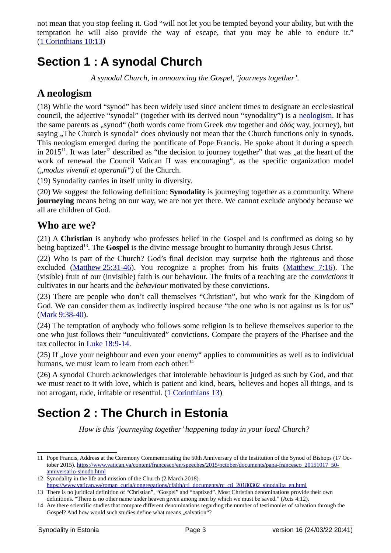not mean that you stop feeling it. God "will not let you be tempted beyond your ability, but with the temptation he will also provide the way of escape, that you may be able to endure it." ( [1 Corinthians 10:13](https://www.bibleserver.com/ESV/1%20Corinthians10%3A13))

# <span id="page-2-3"></span>**Section 1 : A synodal Church**

<span id="page-2-6"></span>*A synodal Church, in announcing the Gospel, 'journeys together'.*

#### <span id="page-2-2"></span>**A neologism**

(18) While the word "synod" has been widely used since ancient times to designate an ecclesiastical council, the adjective "synodal" (together with its derived noun "synodality") is a [neologism.](https://en.wikipedia.org/wiki/Neologism) It has the same parents as "synod" (both words come from Greek *συν* together and *ὁδός* way, journey), but saying . The Church is synodal does obviously not mean that the Church functions only in synods. This neologism emerged during the pontificate of Pope Francis. He spoke about it during a speech in 2015<sup>[11](#page-2-5)</sup>. It was later<sup>[12](#page-2-7)</sup> described as "the decision to journey together" that was "at the heart of the work of renewal the Council Vatican II was encouraging", as the specific organization model ("*modus vivendi et operandi"*) of the Church.

<span id="page-2-4"></span>(19) Synodality carries in itself unity in diversity.

(20) We suggest the following definition: **Synodality** is journeying together as a community. Where **journeying** means being on our way, we are not yet there. We cannot exclude anybody because we all are children of God.

#### <span id="page-2-1"></span>**Who are we?**

<span id="page-2-8"></span>(21) A **Christian** is anybody who professes belief in the Gospel and is confirmed as doing so by being baptized<sup>[13](#page-2-9)</sup>. The **Gospel** is the divine message brought to humanity through Jesus Christ.

(22) Who is part of the Church? God's final decision may surprise both the righteous and those excluded(Matthew 25:31-46). You recognize a prophet from his fruits ([Matthew 7:16](https://www.bibleserver.com/ESV/Matthew7%3A16)). The (visible) fruit of our (invisible) faith is our behaviour. The fruits of a teaching are the *convictions* it cultivates in our hearts and the *behaviour* motivated by these convictions.

(23) There are people who don't call themselves "Christian", but who work for the Kingdom of God. We can consider them as indirectly inspired because "the one who is not against us is for us" (Mark 9:38-40).

(24) The temptation of anybody who follows some religion is to believe themselves superior to the one who just follows their "uncultivated" convictions. Compare the prayers of the Pharisee and the tax collector in [Luke 18:9-14.](https://www.bibleserver.com/ESV/Luke18%3A9-14)

(25) If "love your neighbour and even your enemy" applies to communities as well as to individual humans, we must learn to learn from each other.<sup>[14](#page-2-11)</sup>

(26) A synodal Church acknowledges that intolerable behaviour is judged as such by God, and that we must react to it with love, which is patient and kind, bears, believes and hopes all things, and is not arrogant, rude, irritable or resentful. (1 Corinthians 13)

# <span id="page-2-0"></span>**Section 2 : The Church in Estonia**

<span id="page-2-10"></span>*How is this 'journeying together' happening today in your local Church?* 

<span id="page-2-5"></span>[<sup>11</sup>](#page-2-4) Pope Francis, Address at the Ceremony Commemorating the 50th Anniversary of the Institution of the Synod of Bishops (17 October 2015). [https://www.vatican.va/content/francesco/en/speeches/2015/october/documents/papa-francesco\\_20151017\\_50](https://www.vatican.va/content/francesco/en/speeches/2015/october/documents/papa-francesco_20151017_50-anniversario-sinodo.html) [anniversario-sinodo.html](https://www.vatican.va/content/francesco/en/speeches/2015/october/documents/papa-francesco_20151017_50-anniversario-sinodo.html)

<span id="page-2-7"></span>[<sup>12</sup>](#page-2-6) Synodality in the life and mission of the Church (2 March 2018).

<span id="page-2-9"></span>[https://www.vatican.va/roman\\_curia/congregations/cfaith/cti\\_documents/rc\\_cti\\_20180302\\_sinodalita\\_en.html](https://www.vatican.va/roman_curia/congregations/cfaith/cti_documents/rc_cti_20180302_sinodalita_en.html) [13](#page-2-8) There is no juridical definition of "Christian", "Gospel" and "baptized". Most Christian denominations provide their own

definitions. "There is no other name under heaven given among men by which we must be saved." (Acts 4:12). [14](#page-2-10) Are there scientific studies that compare different denominations regarding the number of testimonies of salvation through the

<span id="page-2-11"></span>Gospel? And how would such studies define what means "salvation"?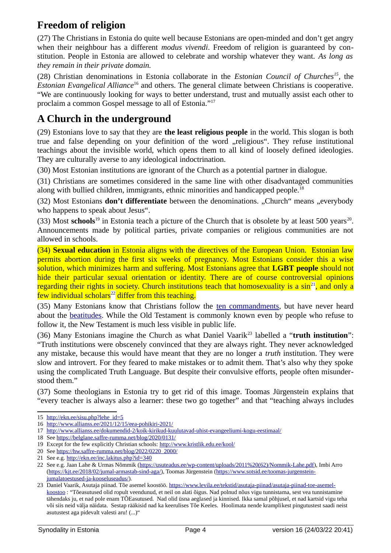### <span id="page-3-1"></span>**Freedom of religion**

(27) The Christians in Estonia do quite well because Estonians are open-minded and don't get angry when their neighbour has a different *modus vivendi*. Freedom of religion is guaranteed by constitution. People in Estonia are allowed to celebrate and worship whatever they want. *As long as they remain in their private domain.*

<span id="page-3-4"></span><span id="page-3-2"></span>(28) Christian denominations in Estonia collaborate in the *Estonian Council of Churches[15](#page-3-3) ,* the *Estonian Evangelical Alliance*[16](#page-3-5) and others. The general climate between Christians is cooperative. "We are continuously looking for ways to better understand, trust and mutually assist each other to proclaim a common Gospel message to all of Estonia."[17](#page-3-7)

### <span id="page-3-6"></span><span id="page-3-0"></span>**A Church in the underground**

(29) Estonians love to say that they are **the least religious people** in the world. This slogan is both true and false depending on your definition of the word "religious". They refuse institutional teachings about the invisible world, which opens them to all kind of loosely defined ideologies. They are culturally averse to any ideological indoctrination.

(30) Most Estonian institutions are ignorant of the Church as a potential partner in dialogue.

<span id="page-3-8"></span>(31) Christians are sometimes considered in the same line with other disadvantaged communities along with bullied children, immigrants, ethnic minorities and handicapped people.<sup>[18](#page-3-9)</sup>

(32) Most Estonians **don't differentiate** between the denominations. "Church" means "everybody who happens to speak about Jesus".

<span id="page-3-12"></span><span id="page-3-10"></span> $(33)$  Most schools<sup>[19](#page-3-11)</sup> in Estonia teach a picture of the Church that is obsolete by at least 500 years<sup>[20](#page-3-13)</sup>. Announcements made by political parties, private companies or religious communities are not allowed in schools.

(34) **Sexual education** in Estonia aligns with the directives of the European Union. Estonian law permits abortion during the first six weeks of pregnancy. Most Estonians consider this a wise solution, which minimizes harm and suffering. Most Estonians agree that **LGBT people** should not hide their particular sexual orientation or identity. There are of course controversial opinions regarding their rights in society. Church institutions teach that homosexuality is a  $\sin^{21}$  $\sin^{21}$  $\sin^{21}$ , and only a few individual scholars<sup>[22](#page-3-17)</sup> differ from this teaching.

<span id="page-3-16"></span><span id="page-3-14"></span>(35) Many Estonians know that Christians follow the [ten commandments](https://en.wikipedia.org/wiki/Ten_Commandments), but have never heard about the [beatitudes.](https://en.wikipedia.org/wiki/Beatitudes) While the Old Testament is commonly known even by people who refuse to follow it, the New Testament is much less visible in public life.

<span id="page-3-18"></span>(36) Many Estonians imagine the Church as what Daniel Vaarik[23](#page-3-19) labelled a "**truth institution**": "Truth institutions were obscenely convinced that they are always right. They never acknowledged any mistake, because this would have meant that they are no longer a *truth* institution. They were slow and introvert. For they feared to make mistakes or to admit them. That's also why they spoke using the complicated Truth Language. But despite their convulsive efforts, people often misunderstood them."

(37) Some theologians in Estonia try to get rid of this image. Toomas Jürgenstein explains that "every teacher is always also a learner: these two go together" and that "teaching always includes

<span id="page-3-3"></span>[<sup>15</sup>](#page-3-2) [http://ekn.ee/sisu.php?lehe\\_id=5](http://ekn.ee/sisu.php?lehe_id=5)

<span id="page-3-5"></span>[<sup>16</sup>](#page-3-4) <http://www.allianss.ee/2021/12/15/eea-pohikiri-2021/>

<span id="page-3-7"></span>[<sup>17</sup>](#page-3-6) <http://www.allianss.ee/dokumendid-2/koik-kirikud-kuulutavad-uhist-evangeeliumi-kogu-eestimaal/>

<span id="page-3-9"></span>[<sup>18</sup>](#page-3-8) See<https://belglane.saffre-rumma.net/blog/2020/0131/>

<span id="page-3-11"></span>[<sup>19</sup>](#page-3-10) Except for the few explicitly Christian schools: <http://www.kristlik.edu.ee/kool/>

<span id="page-3-13"></span>[<sup>20</sup>](#page-3-12) See [https://hw.saffre-rumma.net/blog/2022/0220\\_2000/](https://hw.saffre-rumma.net/blog/2022/0220_2000/)

<span id="page-3-15"></span>[<sup>21</sup>](#page-3-14) See e.g.<http://ekn.ee/inc.lakitus.php?id=340>

<span id="page-3-17"></span>[<sup>22</sup>](#page-3-16) See e.g. Jaan Lahe & Urmas Nõmmik ([https://usuteadus.ee/wp-content/uploads/2011%20\(62\)/Nommik-Lahe.pdf](https://usuteadus.ee/wp-content/uploads/2011%20(62)/Nommik-Lahe.pdf)), Imbi Arro (<https://kjt.ee/2018/02/jumal-armastab-sind-aga/>), Toomas Jürgenstein [\(https://www.sotsid.ee/toomas-jurgenstein](https://www.sotsid.ee/toomas-jurgenstein-jumalatoestused-ja-kooseluseadus/)[jumalatoestused-ja-kooseluseadus/\)](https://www.sotsid.ee/toomas-jurgenstein-jumalatoestused-ja-kooseluseadus/).

<span id="page-3-19"></span>[<sup>23</sup>](#page-3-18) Daniel Vaarik, Asutaja piinad. Tõe asemel koostöö. [https://www.levila.ee/tekstid/asutaja-piinad/asutaja-piinad-toe-asemel](https://www.levila.ee/tekstid/asutaja-piinad/asutaja-piinad-toe-asemel-koostoo)[koostoo](https://www.levila.ee/tekstid/asutaja-piinad/asutaja-piinad-toe-asemel-koostoo) : "Tõeasutused olid ropult veendunud, et neil on alati õigus. Nad polnud nõus vigu tunnistama, sest vea tunnistamine tähendaks ju, et nad pole enam TÕEasutused. Nad olid üsna aeglased ja kinnised. Ikka samal põhjusel, et nad kartsid vigu teha või siis neid välja näidata. Sestap rääkisid nad ka keerulises Tõe Keeles. Hoolimata nende kramplikest pingutustest saadi neist asutustest aga pidevalt valesti aru! (...)"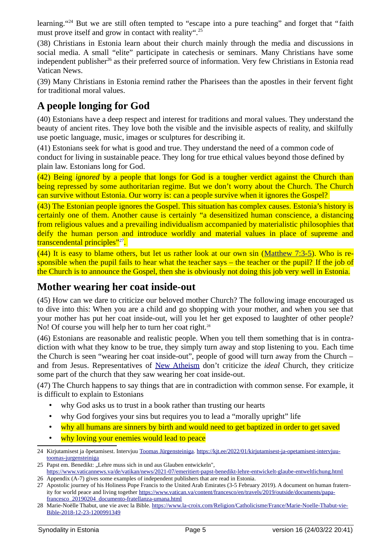<span id="page-4-4"></span><span id="page-4-2"></span>learning."<sup>[24](#page-4-3)</sup> But we are still often tempted to "escape into a pure teaching" and forget that "faith must prove itself and grow in contact with reality".<sup>[25](#page-4-5)</sup>

<span id="page-4-6"></span>(38) Christians in Estonia learn about their church mainly through the media and discussions in social media. A small "elite" participate in catechesis or seminars. Many Christians have some independent publisher<sup>[26](#page-4-7)</sup> as their preferred source of information. Very few Christians in Estonia read Vatican News.

(39) Many Christians in Estonia remind rather the Pharisees than the apostles in their fervent fight for traditional moral values.

### <span id="page-4-1"></span>**A people longing for God**

(40) Estonians have a deep respect and interest for traditions and moral values. They understand the beauty of ancient rites. They love both the visible and the invisible aspects of reality, and skilfully use poetic language, music, images or sculptures for describing it.

(41) Estonians seek for what is good and true. They understand the need of a common code of conduct for living in sustainable peace. They long for true ethical values beyond those defined by plain law. Estonians long for God.

(42) Being *ignored* by a people that longs for God is a tougher verdict against the Church than being repressed by some authoritarian regime. But we don't worry about the Church. The Church can survive without Estonia. Our worry is: can a people survive when it ignores the Gospel?

(43) The Estonian people ignores the Gospel. This situation has complex causes. Estonia's history is certainly one of them. Another cause is certainly "a desensitized human conscience, a distancing from religious values and a prevailing individualism accompanied by materialistic philosophies that deify the human person and introduce worldly and material values in place of supreme and transcendental principles"<sup>[27](#page-4-9)</sup>.

<span id="page-4-8"></span> $(44)$  It is easy to blame others, but let us rather look at our own sin [\(Matthew 7:3-5\)](https://www.bibleserver.com/ESV/Matthew7%3A3-5). Who is responsible when the pupil fails to hear what the teacher says – the teacher or the pupil? If the job of the Church is to announce the Gospel, then she is obviously not doing this job very well in Estonia.

#### <span id="page-4-0"></span>**Mother wearing her coat inside-out**

(45) How can we dare to criticize our beloved mother Church? The following image encouraged us to dive into this: When you are a child and go shopping with your mother, and when you see that your mother has put her coat inside-out, will you let her get exposed to laughter of other people? No! Of course you will help her to turn her coat right.<sup>[28](#page-4-11)</sup>

<span id="page-4-10"></span>(46) Estonians are reasonable and realistic people. When you tell them something that is in contradiction with what they know to be true, they simply turn away and stop listening to you. Each time the Church is seen "wearing her coat inside-out", people of good will turn away from the Church – and from Jesus. Representatives of [New Atheism](https://en.wikipedia.org/wiki/New_Atheism) don't criticize the *ideal* Church, they criticize some part of the church that they saw wearing her coat inside-out.

(47) The Church happens to say things that are in contradiction with common sense. For example, it is difficult to explain to Estonians

- why God asks us to trust in a book rather than trusting our hearts
- why God forgives your sins but requires you to lead a "morally upright" life
- why all humans are sinners by birth and would need to get baptized in order to get saved
- why loving your enemies would lead to peace

<span id="page-4-3"></span>[<sup>24</sup>](#page-4-2) Kirjutamisest ja õpetamisest. Intervjuu [Toomas Jürgensteiniga](https://et.wikipedia.org/wiki/Toomas_J%C3%BCrgenstein). [https://kjt.ee/2022/01/kirjutamisest-ja-opetamisest-intervjuu](https://kjt.ee/2022/01/kirjutamisest-ja-opetamisest-intervjuu-toomas-jurgensteiniga)[toomas-jurgensteiniga](https://kjt.ee/2022/01/kirjutamisest-ja-opetamisest-intervjuu-toomas-jurgensteiniga)

<span id="page-4-5"></span>[<sup>25</sup>](#page-4-4) Papst em. Benedikt: "Lehre muss sich in und aus Glauben entwickeln", <https://www.vaticannews.va/de/vatikan/news/2021-07/emeritiert-papst-benedikt-lehre-entwickelt-glaube-entweltlichung.html> [26](#page-4-6) Appendix (A-7) gives some examples of independent publishers that are read in Estonia.

<span id="page-4-9"></span><span id="page-4-7"></span>[<sup>27</sup>](#page-4-8) Apostolic journey of his Holiness Pope Francis to the United Arab Emirates (3-5 February 2019). A document on human fraternity for world peace and living together [https://www.vatican.va/content/francesco/en/travels/2019/outside/documents/papa](https://www.vatican.va/content/francesco/en/travels/2019/outside/documents/papa-francesco_20190204_documento-fratellanza-umana.html)[francesco\\_20190204\\_documento-fratellanza-umana.html](https://www.vatican.va/content/francesco/en/travels/2019/outside/documents/papa-francesco_20190204_documento-fratellanza-umana.html)

<span id="page-4-11"></span>[<sup>28</sup>](#page-4-10) Marie-Noëlle Thabut, une vie avec la Bible. [https://www.la-croix.com/Religion/Catholicisme/France/Marie-Noelle-Thabut-vie-](https://www.la-croix.com/Religion/Catholicisme/France/Marie-Noelle-Thabut-vie-Bible-2018-12-23-1200991349)[Bible-2018-12-23-1200991349](https://www.la-croix.com/Religion/Catholicisme/France/Marie-Noelle-Thabut-vie-Bible-2018-12-23-1200991349)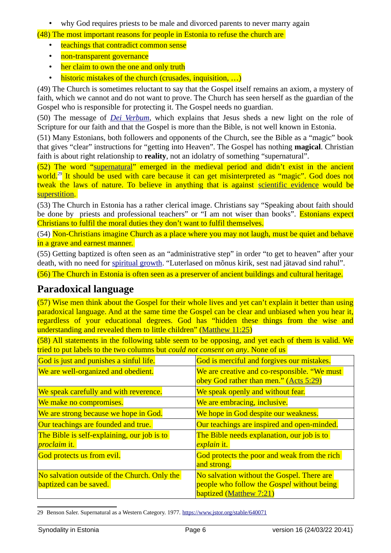• why God requires priests to be male and divorced parents to never marry again

(48) The most important reasons for people in Estonia to refuse the church are

- teachings that contradict common sense
- non-transparent governance
- her claim to own the one and only truth
- historic mistakes of the church (crusades, inquisition, ...)

(49) The Church is sometimes reluctant to say that the Gospel itself remains an axiom, a mystery of faith, which we cannot and do not want to prove. The Church has seen herself as the guardian of the Gospel who is responsible for protecting it. The Gospel needs no guardian.

(50) The message of *[Dei Verbum](https://www.vatican.va/archive/hist_councils/ii_vatican_council/documents/vat-ii_const_19651118_dei-verbum_en.html)*, which explains that Jesus sheds a new light on the role of Scripture for our faith and that the Gospel is more than the Bible, is not well known in Estonia.

(51) Many Estonians, both followers and opponents of the Church, see the Bible as a "magic" book that gives "clear" instructions for "getting into Heaven". The Gospel has nothing **magical**. Christian faith is about right relationship to **reality**, not an idolatry of something "supernatural".

<span id="page-5-1"></span>(52) The word "[supernatural](https://en.wikipedia.org/wiki/Supernatural)" emerged in the medieval period and didn't exist in the ancient world.<sup>[29](#page-5-2)</sup> It should be used with care because it can get misinterpreted as "magic". God does not tweak the laws of nature. To believe in anything that is against [scientific evidence](https://en.wikipedia.org/wiki/Scientific_evidence) would be [superstition.](https://en.wikipedia.org/wiki/Superstition)

(53) The Church in Estonia has a rather clerical image. Christians say "Speaking about faith should be done by priests and professional teachers" or "I am not wiser than books". Estonians expect Christians to fulfil the moral duties they don't want to fulfil themselves.

(54) Non-Christians imagine Church as a place where you may not laugh, must be quiet and behave in a grave and earnest manner.

(55) Getting baptized is often seen as an "administrative step" in order "to get to heaven" after your death, with no need for [spiritual growth](https://en.wikipedia.org/wiki/Spiritual_formation). "Luterlased on mõnus kirik, sest nad jätavad sind rahul".

(56) The Church in Estonia is often seen as a preserver of ancient buildings and cultural heritage.

#### <span id="page-5-0"></span>**Paradoxical language**

(57) Wise men think about the Gospel for their whole lives and yet can't explain it better than using paradoxical language. And at the same time the Gospel can be clear and unbiased when you hear it, regardless of your educational degrees. God has "hidden these things from the wise and understanding and revealed them to little children" ([Matthew 11:25](./hidden%20these%20things%20from%20the%20wise%20and%20understanding%20and%20revealed%20them%20to%20little%20children%3B))

(58) All statements in the following table seem to be opposing, and yet each of them is valid. We tried to put labels to the two columns but *could not consent on any*. None of us

| God is just and punishes a sinful life.      | God is merciful and forgives our mistakes.                                             |
|----------------------------------------------|----------------------------------------------------------------------------------------|
| We are well-organized and obedient.          | We are creative and co-responsible. "We must<br>obey God rather than men." (Acts 5:29) |
| We speak carefully and with reverence.       | We speak openly and without fear.                                                      |
| We make no compromises.                      | We are embracing, inclusive.                                                           |
| We are strong because we hope in God.        | We hope in God despite our weakness.                                                   |
| Our teachings are founded and true.          | Our teachings are inspired and open-minded.                                            |
| The Bible is self-explaining, our job is to  | The Bible needs explanation, our job is to                                             |
| <i>proclaim it.</i>                          | explain it.                                                                            |
| God protects us from evil.                   | God protects the poor and weak from the rich                                           |
|                                              | and strong.                                                                            |
| No salvation outside of the Church. Only the | No salvation without the Gospel. There are                                             |
| baptized can be saved.                       | people who follow the Gospel without being                                             |
|                                              | <b>baptized (Matthew 7:21)</b>                                                         |

<span id="page-5-2"></span>[29](#page-5-1) Benson Saler. Supernatural as a Western Category. 1977. <https://www.jstor.org/stable/640071>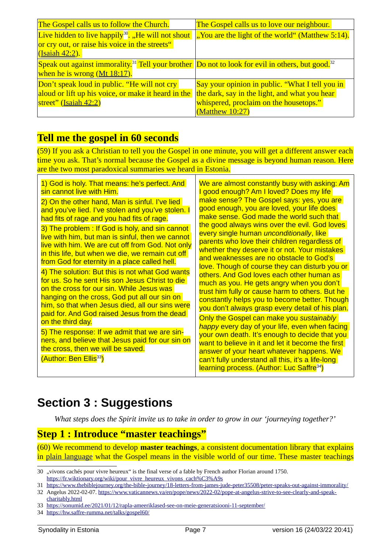<span id="page-6-7"></span><span id="page-6-5"></span><span id="page-6-3"></span>

| The Gospel calls us to follow the Church.                                                                                | The Gospel calls us to love our neighbour.       |
|--------------------------------------------------------------------------------------------------------------------------|--------------------------------------------------|
| Live hidden to live happily <sup>30</sup> . "He will not shout                                                           | "You are the light of the world" (Matthew 5:14). |
| or cry out, or raise his voice in the streets"                                                                           |                                                  |
| (Isaiah 42:2).                                                                                                           |                                                  |
| Speak out against immorality. <sup>31</sup> Tell your brother Do not to look for evil in others, but good. <sup>32</sup> |                                                  |
| when he is wrong (Mt 18:17).                                                                                             |                                                  |
| Don't speak loud in public. "He will not cry                                                                             | Say your opinion in public. "What I tell you in  |
| aloud or lift up his voice, or make it heard in the                                                                      | the dark, say in the light, and what you hear    |
| street" (Isaiah 42:2)                                                                                                    | whispered, proclaim on the housetops."           |
|                                                                                                                          | (Matthew 10:27)                                  |

### <span id="page-6-2"></span>**Tell me the gospel in 60 seconds**

(59) If you ask a Christian to tell you the Gospel in one minute, you will get a different answer each time you ask. That's normal because the Gospel as a divine message is beyond human reason. Here are the two most paradoxical summaries we heard in Estonia.

| 1) God is holy. That means: he's perfect. And<br>sin cannot live with Him.<br>2) On the other hand, Man is sinful. I've lied<br>and you've lied. I've stolen and you've stolen. I<br>had fits of rage and you had fits of rage.<br>3) The problem : If God is holy, and sin cannot<br>live with him, but man is sinful, then we cannot<br>live with him. We are cut off from God. Not only<br>in this life, but when we die, we remain cut off<br>from God for eternity in a place called hell.        | We are almost constantly busy with asking: Am<br>good enough? Am I loved? Does my life<br>make sense? The Gospel says: yes, you are<br>good enough, you are loved, your life does<br>make sense. God made the world such that<br>the good always wins over the evil. God loves<br>every single human <i>unconditionally</i> , like<br>parents who love their children regardless of<br>whether they deserve it or not. Your mistakes<br>and weaknesses are no obstacle to God's |
|--------------------------------------------------------------------------------------------------------------------------------------------------------------------------------------------------------------------------------------------------------------------------------------------------------------------------------------------------------------------------------------------------------------------------------------------------------------------------------------------------------|---------------------------------------------------------------------------------------------------------------------------------------------------------------------------------------------------------------------------------------------------------------------------------------------------------------------------------------------------------------------------------------------------------------------------------------------------------------------------------|
| 4) The solution: But this is not what God wants<br>for us. So he sent His son Jesus Christ to die<br>on the cross for our sin. While Jesus was<br>hanging on the cross, God put all our sin on<br>him, so that when Jesus died, all our sins were<br>paid for. And God raised Jesus from the dead<br>on the third day.<br>5) The response: If we admit that we are sin-<br>ners, and believe that Jesus paid for our sin on<br>the cross, then we will be saved.<br>(Author: Ben Ellis <sup>33</sup> ) | love. Though of course they can disturb you or<br>others. And God loves each other human as<br>much as you. He gets angry when you don't<br>trust him fully or cause harm to others. But he<br>constantly helps you to become better. Though<br>you don't always grasp every detail of his plan.                                                                                                                                                                                |
|                                                                                                                                                                                                                                                                                                                                                                                                                                                                                                        | Only the Gospel can make you sustainably<br>happy every day of your life, even when facing<br>your own death. It's enough to decide that you<br>want to believe in it and let it become the first<br>answer of your heart whatever happens. We<br>can't fully understand all this, it's a life-long<br>learning process. (Author: Luc Saffre <sup>34</sup> )                                                                                                                    |

# <span id="page-6-9"></span><span id="page-6-1"></span>**Section 3 : Suggestions**

<span id="page-6-11"></span>*What steps does the Spirit invite us to take in order to grow in our 'journeying together?'*

#### <span id="page-6-0"></span>**Step 1 : Introduce "master teachings"**

(60) We recommend to develop **master teachings**, a consistent documentation library that explains in [plain language](https://en.wikipedia.org/wiki/Plain_language) what the Gospel means in the visible world of our time. These master teachings

<span id="page-6-4"></span>[<sup>30</sup>](#page-6-3) "vivons cachés pour vivre heureux" is the final verse of a fable by French author Florian around 1750. [https://fr.wiktionary.org/wiki/pour\\_vivre\\_heureux\\_vivons\\_cach%C3%A9s](https://fr.wiktionary.org/wiki/pour_vivre_heureux_vivons_cach%C3%A9s)

<span id="page-6-6"></span>[<sup>31</sup>](#page-6-5)<https://www.thebiblejourney.org/the-bible-journey/18-letters-from-james-jude-peter35508/peter-speaks-out-against-immorality/> [32](#page-6-7) Angelus 2022-02-07. [https://www.vaticannews.va/en/pope/news/2022-02/pope-at-angelus-strive-to-see-clearly-and-speak-](https://www.vaticannews.va/en/pope/news/2022-02/pope-at-angelus-strive-to-see-clearly-and-speak-charitably.html)

<span id="page-6-8"></span>[charitably.html](https://www.vaticannews.va/en/pope/news/2022-02/pope-at-angelus-strive-to-see-clearly-and-speak-charitably.html)

<span id="page-6-10"></span>[<sup>33</sup>](#page-6-9)<https://sonumid.ee/2021/01/12/rapla-ameeriklased-see-on-meie-generatsiooni-11-september/>

<span id="page-6-12"></span>[<sup>34</sup>](#page-6-11) <https://hw.saffre-rumma.net/talks/gospel60/>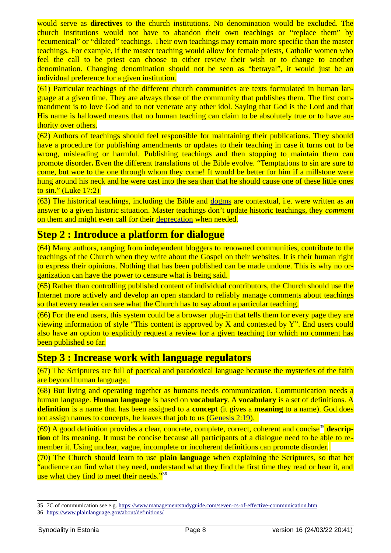would serve as **directives** to the church institutions. No denomination would be excluded. The church institutions would not have to abandon their own teachings or "replace them" by "ecumenical" or "dilated" teachings. Their own teachings may remain more specific than the master teachings. For example, if the master teaching would allow for female priests, Catholic women who feel the call to be priest can choose to either review their wish or to change to another denomination. Changing denomination should not be seen as "betrayal", it would just be an individual preference for a given institution.

(61) Particular teachings of the different church communities are texts formulated in human language at a given time. They are always those of the community that publishes them. The first commandment is to love God and to not venerate any other idol. Saying that God is the Lord and that His name is hallowed means that no human teaching can claim to be absolutely true or to have authority over others.

(62) Authors of teachings should feel responsible for maintaining their publications. They should have a procedure for publishing amendments or updates to their teaching in case it turns out to be wrong, misleading or harmful. Publishing teachings and then stopping to maintain them can promote disorder**.** Even the different translations of the Bible evolve. "Temptations to sin are sure to come, but woe to the one through whom they come! It would be better for him if a millstone were hung around his neck and he were cast into the sea than that he should cause one of these little ones to sin." (Luke 17:2)

(63) The historical teachings, including the Bible and dogms are contextual, i.e. were written as an answer to a given historic situation. Master teachings don't update historic teachings, they *comment* on them and might even call for their deprecation when needed.

#### <span id="page-7-0"></span>**Step 2 : Introduce a platform for dialogue**

(64) Many authors, ranging from independent bloggers to renowned communities, contribute to the teachings of the Church when they write about the Gospel on their websites. It is their human right to express their opinions. Nothing that has been published can be made undone. This is why no organization can have the power to censure what is being said.

(65) Rather than controlling published content of individual contributors, the Church should use the Internet more actively and develop an open standard to reliably manage comments about teachings so that every reader can see what the Church has to say about a particular teaching.

 $(66)$  For the end users, this system could be a browser plug-in that tells them for every page they are viewing information of style "This content is approved by X and contested by Y". End users could also have an option to explicitly request a review for a given teaching for which no comment has been published so far.

#### <span id="page-7-1"></span>**Step 3 : Increase work with language regulators**

(67) The Scriptures are full of poetical and paradoxical language because the mysteries of the faith are beyond human language.

(68) But living and operating together as humans needs communication. Communication needs a human language. **Human language** is based on **vocabulary**. A **vocabulary** is a set of definitions. A **definition** is a name that has been assigned to a **concept** (it gives a **meaning** to a name). God does not assign names to concepts, he leaves that job to us ([Genesis 2:19](https://www.bibleserver.com/ESV/Genesis2%3A19)).

<span id="page-7-2"></span>(69) A good definition provides a clear, concrete, complete, correct, coherent and concise[35](#page-7-3) **description** of its meaning. It must be concise because all participants of a dialogue need to be able to remember it. Using unclear, vague, incomplete or incoherent definitions can promote disorder.

<span id="page-7-4"></span>(70) The Church should learn to use **plain language** when explaining the Scriptures, so that her "audience can find what they need, understand what they find the first time they read or hear it, and use what they find to meet their needs."<sup>[36](#page-7-5)</sup>

<span id="page-7-3"></span>[<sup>35</sup>](#page-7-2) 7C of communication see e.g. <https://www.managementstudyguide.com/seven-cs-of-effective-communication.htm>

<span id="page-7-5"></span>[<sup>36</sup>](#page-7-4)<https://www.plainlanguage.gov/about/definitions/>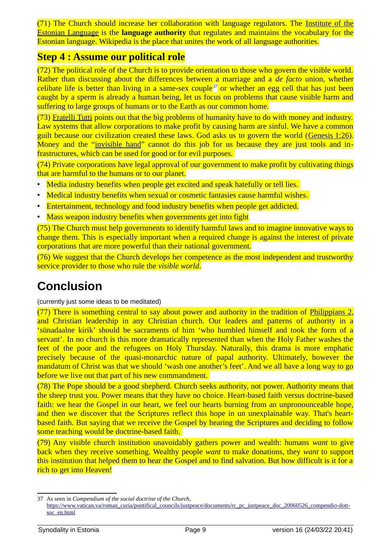(71) The Church should increase her collaboration with language regulators. The [Institute of the](https://et.wikipedia.org/wiki/Eesti_Keele_Instituut) [Estonian Language](https://et.wikipedia.org/wiki/Eesti_Keele_Instituut) is the **language authority** that regulates and maintains the vocabulary for the Estonian language. Wikipedia is the place that unites the work of all language authorities.

### <span id="page-8-1"></span>**Step 4 : Assume our political role**

<span id="page-8-2"></span>(72) The political role of the Church is to provide orientation to those who govern the visible world. Rather than discussing about the differences between a marriage and a *de facto* union, whether celibate life is better than living in a same-sex couple<sup>[37](#page-8-3)</sup> or whether an egg cell that has just been caught by a sperm is already a human being, let us focus on problems that cause visible harm and suffering to large groups of humans or to the Earth as our common home.

(73) [Fratelli Tutti](https://sinod.katoliku.ee/en/links/#term-FT) points out that the big problems of humanity have to do with money and industry. Law systems that allow corporations to make profit by causing harm are sinful. We have a common guilt because our civilization created these laws. God asks us to govern the world (Genesis 1:26). Money and the "[invisible hand](https://en.wikipedia.org/wiki/Invisible_hand)" cannot do this job for us because they are just tools and infrastructures, which can be used for good or for evil purposes.

(74) Private corporations have legal approval of our government to make profit by cultivating things that are harmful to the humans or to our planet.

- Media industry benefits when people get excited and speak hatefully or tell lies.
- Medical industry benefits when sexual or cosmetic fantasies cause harmful wishes.
- Entertainment, technology and food industry benefits when people get addicted.
- Mass weapon industry benefits when governments get into fight

(75) The Church must help governments to identify harmful laws and to imagine innovative ways to change them. This is especially important when a required change is against the interest of private corporations that are more powerful than their national government.

 $(76)$  We suggest that the Church develops her competence as the most independent and trustworthy service provider to those who rule the *visible world*.

# <span id="page-8-0"></span>**Conclusion**

(currently just some ideas to be meditated)

 $(77)$  There is something central to say about power and authority in the tradition of [Philippians 2,](https://www.bibleserver.com/ESV/Philippians2) and Christian leadership in any Christian church. Our leaders and patterns of authority in a 'sünadaalne kirik' should be sacraments of him 'who humbled himself and took the form of a servant'. In no church is this more dramatically represented than when the Holy Father washes the feet of the poor and the refugees on Holy Thursday. Naturally, this drama is more emphatic precisely because of the quasi-monarchic nature of papal authority. Ultimately, however the mandatum of Christ was that we should 'wash one another's feet'. And we all have a long way to go before we live out that part of his new commandment.

(78) The Pope should be a good shepherd. Church seeks authority, not power. Authority means that the sheep trust you. Power means that they have no choice. Heart-based faith versus doctrine-based faith: we hear the Gospel in our heart, we feel our hearts burning from an unpronounceable hope, and then we discover that the Scriptures reflect this hope in un unexplainable way. That's heartbased faith. But saying that we receive the Gospel by hearing the Scriptures and deciding to follow some teaching would be doctrine-based faith.

(79) Any visible church institution unavoidably gathers power and wealth: humans *want* to give back when they receive something. Wealthy people *want* to make donations, they *want* to support this institution that helped them to hear the Gospel and to find salvation. But how difficult is it for a rich to get into Heaven!

<span id="page-8-3"></span>[<sup>37</sup>](#page-8-2) As seen in *Compendium of the social doctrine of the Church*,

[https://www.vatican.va/roman\\_curia/pontifical\\_councils/justpeace/documents/rc\\_pc\\_justpeace\\_doc\\_20060526\\_compendio-dott](https://www.vatican.va/roman_curia/pontifical_councils/justpeace/documents/rc_pc_justpeace_doc_20060526_compendio-dott-soc_en.html)[soc\\_en.html](https://www.vatican.va/roman_curia/pontifical_councils/justpeace/documents/rc_pc_justpeace_doc_20060526_compendio-dott-soc_en.html)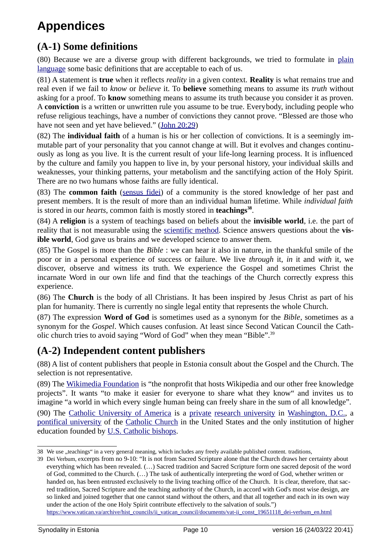# <span id="page-9-2"></span>**Appendices**

# <span id="page-9-1"></span>**(A-1) Some definitions**

(80) Because we are a diverse group with different backgrounds, we tried to formulate in [plain](https://en.wikipedia.org/wiki/Plain_language) [language](https://en.wikipedia.org/wiki/Plain_language) some basic definitions that are acceptable to each of us.

(81) A statement is **true** when it reflects *reality* in a given context. **Reality** is what remains true and real even if we fail to *know* or *believe* it. To **believe** something means to assume its *truth* without asking for a proof. To **know** something means to assume its truth because you consider it as proven. A **conviction** is a written or unwritten rule you assume to be true. Everybody, including people who refuse religious teachings, have a number of convictions they cannot prove. "Blessed are those who have not seen and yet have believed." ([John 20:29\)](https://www.bibleserver.com/ESV/John20%3A29)

(82) The **individual faith** of a human is his or her collection of convictions. It is a seemingly immutable part of your personality that you cannot change at will. But it evolves and changes continuously as long as you live. It is the current result of your life-long learning process. It is influenced by the culture and family you happen to live in, by your personal history, your individual skills and weaknesses, your thinking patterns, your metabolism and the sanctifying action of the Holy Spirit. There are no two humans whose faiths are fully identical.

(83) The **common faith** ([sensus fidei\)](https://en.wikipedia.org/wiki/Sensus_fidelium) of a community is the stored knowledge of her past and present members. It is the result of more than an individual human lifetime. While *individual faith* is stored in our *hearts*, common faith is mostly stored in **teachings[38](#page-9-4)** .

<span id="page-9-3"></span>(84) A **religion** is a system of teachings based on beliefs about the **invisible world**, i.e. the part of reality that is not measurable using the [scientific method](https://www.wordnik.com/words/scientific%20method). Science answers questions about the **visible world**, God gave us brains and we developed science to answer them.

(85) The Gospel is more than the *Bible* : we can hear it also in nature, in the thankful smile of the poor or in a personal experience of success or failure. We live *through* it, *in* it and *with* it, we discover, observe and witness its truth. We experience the Gospel and sometimes Christ the incarnate Word in our own life and find that the teachings of the Church correctly express this experience.

(86) The **Church** is the body of all Christians. It has been inspired by Jesus Christ as part of his plan for humanity. There is currently no single legal entity that represents the whole Church.

(87) The expression **Word of God** is sometimes used as a synonym for the *Bible*, sometimes as a synonym for the *Gospel*. Which causes confusion. At least since Second Vatican Council the Catholic church tries to avoid saying "Word of God" when they mean "Bible".[39](#page-9-6)

## <span id="page-9-5"></span><span id="page-9-0"></span>**(A-2) Independent content publishers**

(88) A list of content publishers that people in Estonia consult about the Gospel and the Church. The selection is not representative.

(89) The [Wikimedia Foundation](https://wikimediafoundation.org/) is "the nonprofit that hosts Wikipedia and our other free knowledge projects". It wants "to make it easier for everyone to share what they know" and invites us to imagine "a world in which every single human being can freely share in the sum of all knowledge". (90) The [Catholic University of America](https://en.wikipedia.org/wiki/Catholic_University_of_America) is a [private](https://en.wikipedia.org/wiki/Private_university) [research university](https://en.wikipedia.org/wiki/Research_university) in [Washington, D.C.,](https://en.wikipedia.org/wiki/Washington,_D.C.) a [pontifical university](https://en.wikipedia.org/wiki/Pontifical_university) of the [Catholic Church](https://en.wikipedia.org/wiki/Catholic_Church) in the United States and the only institution of higher education founded by [U.S. Catholic bishops](https://en.wikipedia.org/wiki/United_States_Conference_of_Catholic_Bishops).

[https://www.vatican.va/archive/hist\\_councils/ii\\_vatican\\_council/documents/vat-ii\\_const\\_19651118\\_dei-verbum\\_en.html](https://www.vatican.va/archive/hist_councils/ii_vatican_council/documents/vat-ii_const_19651118_dei-verbum_en.html)

<span id="page-9-4"></span>[<sup>38</sup>](#page-9-3) We use "teachings" in a very general meaning, which includes any freely available published content. traditions,

<span id="page-9-6"></span>[<sup>39</sup>](#page-9-5) Dei Verbum, excerpts from no 9-10: "It is not from Sacred Scripture alone that the Church draws her certainty about everything which has been revealed. (…) Sacred tradition and Sacred Scripture form one sacred deposit of the word of God, committed to the Church. (…) The task of authentically interpreting the word of God, whether written or handed on, has been entrusted exclusively to the living teaching office of the Church. It is clear, therefore, that sacred tradition, Sacred Scripture and the teaching authority of the Church, in accord with God's most wise design, are so linked and joined together that one cannot stand without the others, and that all together and each in its own way under the action of the one Holy Spirit contribute effectively to the salvation of souls.")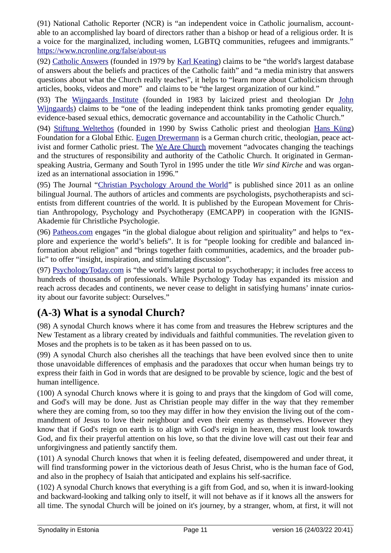(91) National Catholic Reporter (NCR) is "an independent voice in Catholic journalism, accountable to an accomplished lay board of directors rather than a bishop or head of a religious order. It is a voice for the marginalized, including women, LGBTQ communities, refugees and immigrants." <https://www.ncronline.org/false/about-us>

(92) Catholic Answers (founded in 1979 by [Karl Keating](https://en.wikipedia.org/wiki/Karl_Keating)) claims to be "the world's largest database of answers about the beliefs and practices of the Catholic faith" and "a media ministry that answers questions about what the Church really teaches", it helps to "learn more about Catholicism through articles, books, videos and more" and claims to be "the largest organization of our kind."

(93) The [Wijngaards Institute](https://www.wijngaardsinstitute.com/) (founded in 1983 by laicized priest and theologian Dr [John](https://en.wikipedia.org/wiki/John_Wijngaards) [Wijngaards\)](https://en.wikipedia.org/wiki/John_Wijngaards) claims to be "one of the leading independent think tanks promoting gender equality, evidence-based sexual ethics, democratic governance and accountability in the Catholic Church."

(94) [Stiftung Weltethos](https://projektweltethos.de/) (founded in 1990 by Swiss Catholic priest and theologian [Hans Küng\)](https://en.wikipedia.org/wiki/Hans_K%C3%BCng) Foundation for a Global Ethic. [Eugen Drewermann](https://en.wikipedia.org/wiki/Eugen_Drewermann) is a German church critic, theologian, peace activist and former Catholic priest. The We Are Church movement "advocates changing the teachings and the structures of responsibility and authority of the Catholic Church. It originated in Germanspeaking Austria, Germany and South Tyrol in 1995 under the title *Wir sind Kirche* and was organized as an international association in 1996."

(95) The Journal ["Christian Psychology Around the World"](https://emcapp.ignis.de/) is published since 2011 as an online bilingual Journal. The authors of articles and comments are psychologists, psychotherapists and scientists from different countries of the world. It is published by the European Movement for Christian Anthropology, Psychology and Psychotherapy (EMCAPP) in cooperation with the IGNIS-Akademie für Christliche Psychologie.

(96) [Patheos.com](https://www.patheos.com/about-patheos) engages "in the global dialogue about religion and spirituality" and helps to "explore and experience the world's beliefs". It is for "people looking for credible and balanced information about religion" and "brings together faith communities, academics, and the broader public" to offer "insight, inspiration, and stimulating discussion".

(97) [PsychologyToday.com](https://www.psychologytoday.com/intl/docs/about-psychology-today) is "the world's largest portal to psychotherapy; it includes free access to hundreds of thousands of professionals. While Psychology Today has expanded its mission and reach across decades and continents, we never cease to delight in satisfying humans' innate curiosity about our favorite subject: Ourselves."

## <span id="page-10-0"></span>**(A-3) What is a synodal Church?**

(98) A synodal Church knows where it has come from and treasures the Hebrew scriptures and the New Testament as a library created by individuals and faithful communities. The revelation given to Moses and the prophets is to be taken as it has been passed on to us.

(99) A synodal Church also cherishes all the teachings that have been evolved since then to unite those unavoidable differences of emphasis and the paradoxes that occur when human beings try to express their faith in God in words that are designed to be provable by science, logic and the best of human intelligence.

(100) A synodal Church knows where it is going to and prays that the kingdom of God will come, and God's will may be done. Just as Christian people may differ in the way that they remember where they are coming from, so too they may differ in how they envision the living out of the commandment of Jesus to love their neighbour and even their enemy as themselves. However they know that if God's reign on earth is to align with God's reign in heaven, they must look towards God, and fix their prayerful attention on his love, so that the divine love will cast out their fear and unforgivingness and patiently sanctify them.

(101) A synodal Church knows that when it is feeling defeated, disempowered and under threat, it will find transforming power in the victorious death of Jesus Christ, who is the human face of God, and also in the prophecy of Isaiah that anticipated and explains his self-sacrifice.

(102) A synodal Church knows that everything is a gift from God, and so, when it is inward-looking and backward-looking and talking only to itself, it will not behave as if it knows all the answers for all time. The synodal Church will be joined on it's journey, by a stranger, whom, at first, it will not